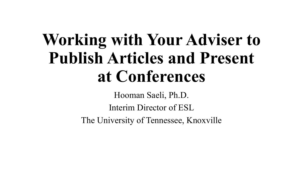# **Working with Your Adviser to Publish Articles and Present at Conferences**

Hooman Saeli, Ph.D. Interim Director of ESL The University of Tennessee, Knoxville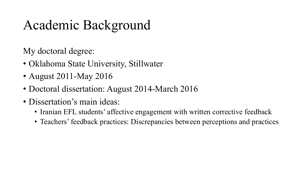# Academic Background

My doctoral degree:

- Oklahoma State University, Stillwater
- August 2011-May 2016
- Doctoral dissertation: August 2014-March 2016
- Dissertation's main ideas:
	- Iranian EFL students' affective engagement with written corrective feedback
	- Teachers' feedback practices: Discrepancies between perceptions and practices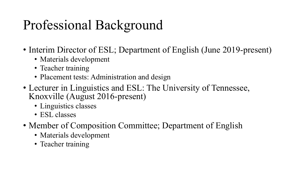# Professional Background

- Interim Director of ESL; Department of English (June 2019-present)
	- Materials development
	- Teacher training
	- Placement tests: Administration and design
- Lecturer in Linguistics and ESL: The University of Tennessee, Knoxville (August 2016-present)
	- Linguistics classes
	- ESL classes
- Member of Composition Committee; Department of English
	- Materials development
	- Teacher training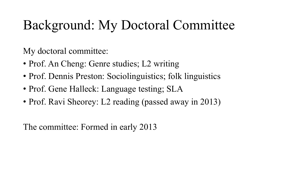#### Background: My Doctoral Committee

My doctoral committee:

- Prof. An Cheng: Genre studies; L2 writing
- Prof. Dennis Preston: Sociolinguistics; folk linguistics
- Prof. Gene Halleck: Language testing; SLA
- Prof. Ravi Sheorey: L2 reading (passed away in 2013)

The committee: Formed in early 2013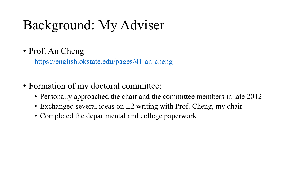# Background: My Adviser

• Prof. An Cheng

https://english.okstate.edu/pages/41-an-cheng

#### • Formation of my doctoral committee:

- Personally approached the chair and the committee
- Exchanged several ideas on L2 writing with Prof.
- Completed the departmental and college paperwor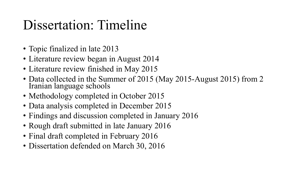#### Dissertation: Timeline

- Topic finalized in late 2013
- Literature review began in August 2014
- Literature review finished in May 2015
- Data collected in the Summer of 2015 (May 2015-August 2015) from 2 Iranian language schools
- Methodology completed in October 2015
- Data analysis completed in December 2015
- Findings and discussion completed in January 2016
- Rough draft submitted in late January 2016
- Final draft completed in February 2016
- Dissertation defended on March 30, 2016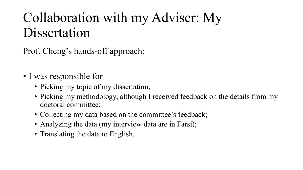## Collaboration with my Adviser: My Dissertation

Prof. Cheng's hands-off approach:

- I was responsible for
	- Picking my topic of my dissertation;
	- Picking my methodology, although I received feedback on the details from my doctoral committee;
	- Collecting my data based on the committee's feedback;
	- Analyzing the data (my interview data are in Farsi);
	- Translating the data to English.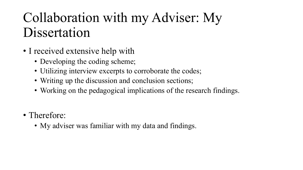#### Collaboration with my Adviser: My Dissertation

- I received extensive help with
	- Developing the coding scheme;
	- Utilizing interview excerpts to corroborate the codes;
	- Writing up the discussion and conclusion sections;
	- Working on the pedagogical implications of the research findings.
- Therefore:
	- My adviser was familiar with my data and findings.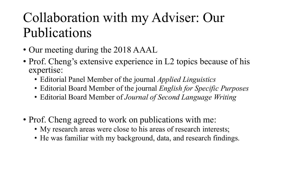- Our meeting during the 2018 AAAL
- Prof. Cheng's extensive experience in L2 topics because of his expertise:
	- Editorial Panel Member of the journal *Applied Linguistics*
	- Editorial Board Member of the journal *English for Specific Purposes*
	- Editorial Board Member of *Journal of Second Language Writing*
- Prof. Cheng agreed to work on publications with me:
	- My research areas were close to his areas of research interests;
	- He was familiar with my background, data, and research findings.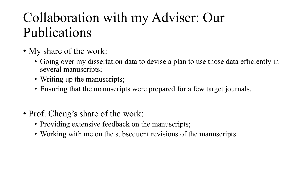- My share of the work:
	- Going over my dissertation data to devise a plan to use those data efficiently in several manuscripts;
	- Writing up the manuscripts;
	- Ensuring that the manuscripts were prepared for a few target journals.
- Prof. Cheng's share of the work:
	- Providing extensive feedback on the manuscripts;
	- Working with me on the subsequent revisions of the manuscripts.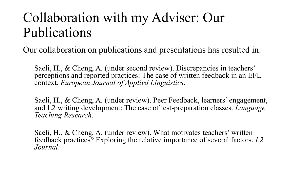Our collaboration on publications and presentations has resulted in:

Saeli, H., & Cheng, A. (under second review). Discrepancies in teachers' perceptions and reported practices: The case of written feedback in an EFL context. *European Journal of Applied Linguistics*.

Saeli, H., & Cheng, A. (under review). Peer Feedback, learners' engagement, and L2 writing development: The case of test-preparation classes. *Language Teaching Research*.

Saeli, H., & Cheng, A. (under review). What motivates teachers' written feedback practices? Exploring the relative importance of several factors. *L2 Journal*.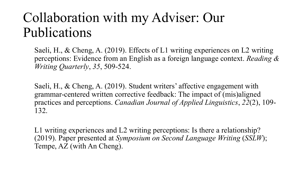Saeli, H., & Cheng, A. (2019). Effects of L1 writing experiences on L2 writing perceptions: Evidence from an English as a foreign language context. *Reading & Writing Quarterly*, *35*, 509-524.

Saeli, H., & Cheng, A. (2019). Student writers' affective engagement with grammar-centered written corrective feedback: The impact of (mis)aligned practices and perceptions. *Canadian Journal of Applied Linguistics*, *22*(2), 109- 132.

L1 writing experiences and L2 writing perceptions: Is there a relationship? (2019). Paper presented at *Symposium on Second Language Writing* (*SSLW*); Tempe, AZ (with An Cheng).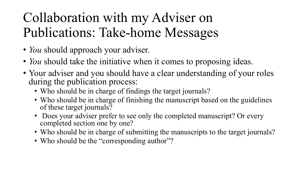# Collaboration with my Adviser on Publications: Take-home Messages

- *You* should approach your adviser.
- *You* should take the initiative when it comes to proposing ideas.
- Your adviser and you should have a clear understanding of your roles during the publication process:
	- Who should be in charge of findings the target journals?
	- Who should be in charge of finishing the manuscript based on the guidelines of these target journals?
	- Does your adviser prefer to see only the completed manuscript? Or every completed section one by one?
	- Who should be in charge of submitting the manuscripts to the target journals?
	- Who should be the "corresponding author"?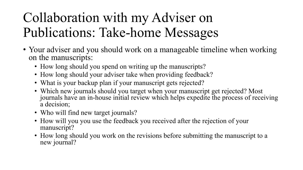# Collaboration with my Adviser on Publications: Take-home Messages

- Your adviser and you should work on a manageable timeline when working on the manuscripts:
	- How long should you spend on writing up the manuscripts?
	- How long should your adviser take when providing feedback?
	- What is your backup plan if your manuscript gets rejected?
	- Which new journals should you target when your manuscript get rejected? Most journals have an in-house initial review which helps expedite the process of receiving a decision;
	- Who will find new target journals?
	- How will you you use the feedback you received after the rejection of your manuscript?
	- How long should you work on the revisions before submitting the manuscript to a new journal?